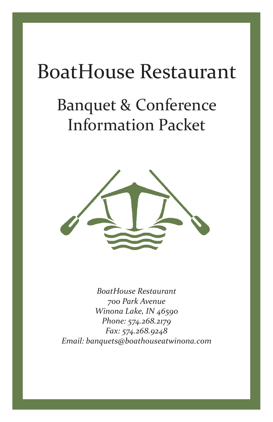# BoatHouse Restaurant

# Banquet & Conference Information Packet



*BoatHouse Restaurant 700 Park Avenue Winona Lake, IN 46590 Phone: 574.268.2179 Fax: 574.268.9248 Email: banquets@boathouseatwinona.com*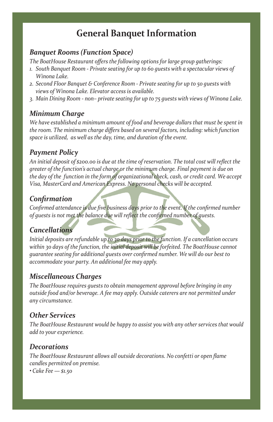## **General Banquet Information**

#### *Banquet Rooms (Function Space)*

*The BoatHouse Restaurant offers the following options for large group gatherings:*

- Fire BoatHouse Restaurant offers the following options for large group gatherings.<br>
1. South Banquet Room Private seating for up to 60 guests with a spectacular views of<br>
Winona Lake. *Winona Lake.*
- *2. Second Floor Banquet & Conference Room Private seating for up to 50 guests with views of Winona Lake. Elevator access is available.*
- 3. Main Dining Room non– private seating for up to 75 guests with views of Winona Lake.<br>**Minimum Charae**

## *Minimum Charge*

We have established a minimum amount of food and beverage dollars that must be spent ii<br>the room. The minimum charge differs based on several factors, including: which function *We have established a minimum amount of food and beverage dollars that must be spent in space is utilized, as well as the day, time, and duration of the event.* 

## *Payment Policy*

*An initial deposit of \$200.00 is due at the time of reservation. The total cost will reflect the greater of the function's actual charge or the minimum charge. Final payment is due on the day of the function in the form of organizational check, cash, or credit card. We accept Visa, MasterCard and American Express. No personal checks will be accepted.* 

#### *Confirmation*

*Confirmed attendance is due five business days prior to the event. If the confirmed number of guests is not met the balance due will reflect the confirmed number of guests.* 

## *Cancellations*

*Initial deposits are refundable up to 30 days prior to the function. If a cancellation occurs within 30 days of the function, the initial deposit will be forfeited. The BoatHouse cannot guarantee seating for additional guests over confirmed number. We will do our best to accommodate your party. An additional fee may apply.* 

#### *Miscellaneous Charges*

*BoatHouse Restaurant outside food and/or beverage. A fee may apply. Outside caterers are not permitted under The BoatHouse requires guests to obtain management approval before bringing in any any circumstance.* 

#### *Other Services*

*Phone: 574.268.2179 The BoatHouse Restaurant would be happy to assist you with any other services that would Fax: 574.268.9248 add to your experience.* 

#### *Decorations*

*The BoatHouse Restaurant allows all outside decorations. No confetti or open flame candles permitted on premise.* 

*• Cake Fee — \$1.50*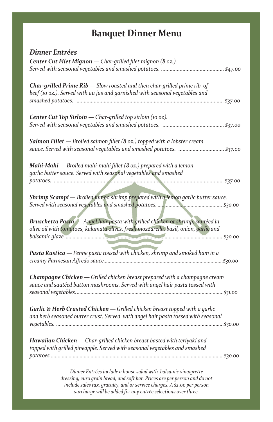# **Banquet Dinner Menu**

| <b>Dinner Entrées</b>                                                                                                                                             |
|-------------------------------------------------------------------------------------------------------------------------------------------------------------------|
| Center Cut Filet Mignon - Char-grilled filet mignon (8 oz.).                                                                                                      |
|                                                                                                                                                                   |
| <b>Char-grilled Prime Rib</b> $-$ Slow roasted and then char-grilled prime rib of<br>beef (10 oz.). Served with au jus and garnished with seasonal vegetables and |
|                                                                                                                                                                   |
| Center Cut Top Sirloin - Char-grilled top sirloin (10 oz).                                                                                                        |
|                                                                                                                                                                   |
| Salmon Fillet - Broiled salmon fillet (8 oz.) topped with a lobster cream<br>sauce. Served with seasonal vegetables and smashed potatoes.  \$37.00                |
| <b>Mahi-Mahi</b> — Broiled mahi-mahi fillet $(8 \text{ oz.})$ prepared with a lemon                                                                               |
| garlic butter sauce. Served with seasonal vegetables and smashed                                                                                                  |
|                                                                                                                                                                   |
| Shrimp Scampi - Broiled jumbo shrimp prepared with a lemon garlic butter sauce.                                                                                   |
|                                                                                                                                                                   |
| Bruschetta Pasta - Angel hair pasta with grilled chicken or shrimp, sautéed in                                                                                    |
| olive oil with tomatoes, kalamata olives, fresh mozzarella, basil, onion, garlic and                                                                              |
|                                                                                                                                                                   |
| Pasta Rustica - Penne pasta tossed with chicken, shrimp and smoked ham in a                                                                                       |
|                                                                                                                                                                   |
| Champagne Chicken - Grilled chicken breast prepared with a champagne cream                                                                                        |
| sauce and sautéed button mushrooms. Served with angel hair pasta tossed with                                                                                      |
|                                                                                                                                                                   |
| Garlic & Herb Crusted Chicken — Grilled chicken breast topped with a garlic<br>and herb seasoned butter crust. Served with angel hair pasta tossed with seasonal  |
|                                                                                                                                                                   |
|                                                                                                                                                                   |
| Hawaiian Chicken — Char-grilled chicken breast basted with teriyaki and<br>topped with grilled pineapple. Served with seasonal vegetables and smashed             |
|                                                                                                                                                                   |
| Dinner Entrées include a house salad with balsamic vinaigrette                                                                                                    |
| dressing euro grain bread, and soft har. Prices are new person and do not                                                                                         |

*dressing, euro grain bread, and soft bar. Prices are per person and do not include sales tax, gratuity, and or service charges. A \$2.00 per person surcharge will be added for any entrée selections over three.*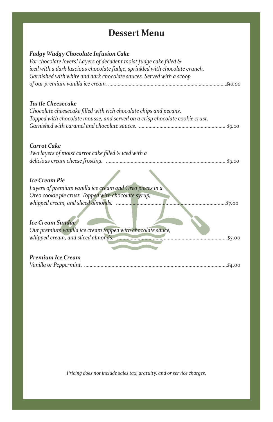## **Dessert Menu**

| <b>Fudgy Wudgy Chocolate Infusion Cake</b><br>For chocolate lovers! Layers of decadent moist fudge cake filled &<br>iced with a dark luscious chocolate fudge, sprinkled with chocolate crunch.<br>Garnished with white and dark chocolate sauces. Served with a scoop |
|------------------------------------------------------------------------------------------------------------------------------------------------------------------------------------------------------------------------------------------------------------------------|
|                                                                                                                                                                                                                                                                        |
| <b>Turtle Cheesecake</b>                                                                                                                                                                                                                                               |
| Chocolate cheesecake filled with rich chocolate chips and pecans.                                                                                                                                                                                                      |
| Topped with chocolate mousse, and served on a crisp chocolate cookie crust.                                                                                                                                                                                            |
|                                                                                                                                                                                                                                                                        |
|                                                                                                                                                                                                                                                                        |
| <b>Carrot Cake</b>                                                                                                                                                                                                                                                     |
|                                                                                                                                                                                                                                                                        |
| Two layers of moist carrot cake filled $\varepsilon$ iced with a                                                                                                                                                                                                       |
| \$9.00                                                                                                                                                                                                                                                                 |
|                                                                                                                                                                                                                                                                        |
| <b>Ice Cream Pie</b>                                                                                                                                                                                                                                                   |
| Layers of premium vanilla ice cream and Oreo pieces in a                                                                                                                                                                                                               |
| Oreo cookie pie crust. Topped with chocolate syrup,                                                                                                                                                                                                                    |
| \$7.00                                                                                                                                                                                                                                                                 |
|                                                                                                                                                                                                                                                                        |
| <b>Ice Cream Sundae</b>                                                                                                                                                                                                                                                |
| Our premium vanilla ice cream topped with chocolate sauce,                                                                                                                                                                                                             |
| \$5.00                                                                                                                                                                                                                                                                 |
|                                                                                                                                                                                                                                                                        |
|                                                                                                                                                                                                                                                                        |
| <b>Premium Ice Cream</b>                                                                                                                                                                                                                                               |

*Vanilla or Peppermint. ........................................................................................................\$4.00*

*Pricing does not include sales tax, gratuity, and or service charges.*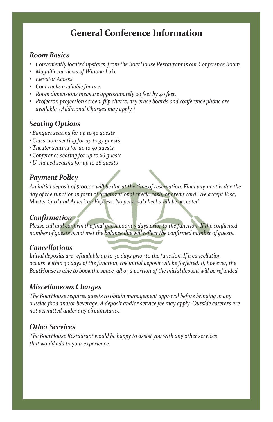## **General Conference Information**

#### *Room Basics*

- Conveniently located upstairs from the BoatHouse Restaurant is our Conference Room<br>• Magnificent views of Winona Lake<br>• Elevator Access
- *• Magnificent views of Winona Lake*
- *• Elevator Access*
- *• Coat racks available for use.*
- *Room dimensions measure approximately 20 feet by 40 feet.*
- *Projector, projection screen, flip charts, dry erase boards and conference phone are*<br>available. (Additional Charges may apply.) *available. (Additional Charges may apply.)*

## *Seating Options*

- **ions**<br>a for un to 50 quests *• Banquet seating for up to 50 guests*
- *Classroom seating for up to 35 guests*
- *Theater seating for up to 50 guests*
- *Conference seating for up to 26 guests*
- *U-shaped seating for up to 26 guests*

#### *Payment Policy*

*An initial deposit of \$100.00 will be due at the time of reservation. Final payment is due the day of the function in form of organizational check, cash, or credit card. We accept Visa, Master Card and American Express. No personal checks will be accepted.* 

#### *Confirmation*

*Please call and confirm the final guest count 5 days prior to the function. If the confirmed number of guests is not met the balance due will reflect the confirmed number of guests.*

#### *Cancellations*

*Initial deposits are refundable up to 30 days prior to the function. If a cancellation occurs within 30 days of the function, the initial deposit will be forfeited. If, however, the BoatHouse is able to book the space, all or a portion of the initial deposit will be refunded.* 

#### *Miscellaneous Charges*

*BoatHouse Restaurant The BoatHouse requires guests to obtain management approval before bringing in any 700 Park Avenue outside food and/or beverage. A deposit and/or service fee may apply. Outside caterers are Winona Lake, IN 46590 not permitted under any circumstance.* 

## *Other Services*

*Fax: 574.268.9248 Email: banquets@boathouseatwinona.com The BoatHouse Restaurant would be happy to assist you with any other services that would add to your experience.*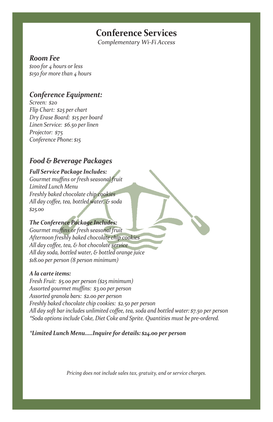## **Conference Services**

*Complementary Wi-Fi Access*

#### *Room Fee*

o for 4 hours or less<br>o for more than 4 hours *\$100 for 4 hours or less \$150 for more than 4 hours*

#### *Conference Equipment:*

 $s_{25}$  per chart Information Packet States Section Packet States Section Packet States Section Packet States Section Packet States Section Packet States Section Packet States Section Packet States Section Packet States Section Packet State *Screen: \$20 Flip Chart: \$25 per chart Dry Erase Board: \$15 per board Linen Service: \$6.50 per linen Projector: \$75 Conference Phone: \$15*

#### *Food & Beverage Packages*

*Full Service Package Includes: Gourmet muffins or fresh seasonal fruit Limited Lunch Menu Freshly baked chocolate chip cookies All day coffee, tea, bottled water, & soda \$25.00* 

#### *The Conference Package Includes:*

*Gourmet muffins or fresh seasonal fruit Afternoon freshly baked chocolate chip cookies All day coffee, tea, & hot chocolate service All day soda, bottled water, & bottled orange juice \$18.00 per person (8 person minimum)* 

#### *A la carte items:*

*BoatHouse Restaurant Assorted gourmet muffins: \$3.00 per person 700 Park Avenue Freshly baked chocolate chip cookies: \$2.50 per person*  All day soft bar includes unlimited coffee, tea, soda and bottled water: \$7.50 per person *Phone: 574.268.2179 \*Soda options include Coke, Diet Coke and Sprite. Quantities must be pre-ordered. Fresh Fruit: \$5.00 per person (\$25 minimum) Assorted granola bars: \$2.00 per person* 

*Fax: 574.268.9248 \*Limited Lunch Menu.....Inquire for details: \$24.00 per person*

*Pricing does not include sales tax, gratuity, and or service charges.*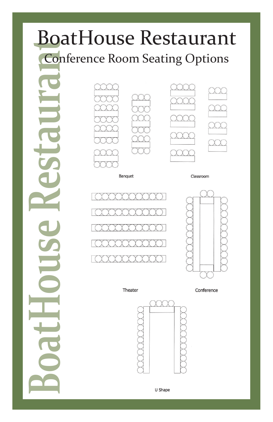